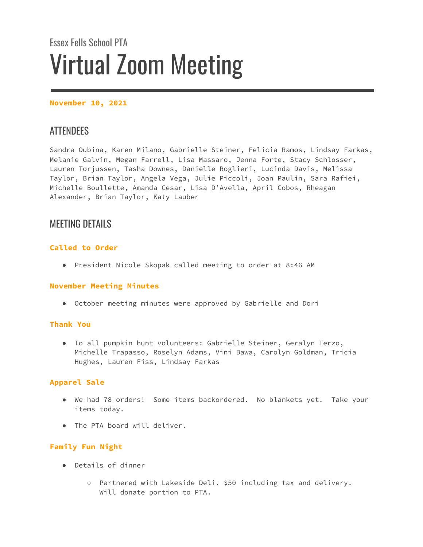# Essex Fells School PTA Virtual Zoom Meeting

## **November 10, 2021**

# **ATTENDEES**

Sandra Oubina, Karen Milano, Gabrielle Steiner, Felicia Ramos, Lindsay Farkas, Melanie Galvin, Megan Farrell, Lisa Massaro, Jenna Forte, Stacy Schlosser, Lauren Torjussen, Tasha Downes, Danielle Roglieri, Lucinda Davis, Melissa Taylor, Brian Taylor, Angela Vega, Julie Piccoli, Joan Paulin, Sara Rafiei, Michelle Boullette, Amanda Cesar, Lisa D'Avella, April Cobos, Rheagan Alexander, Brian Taylor, Katy Lauber

# MEETING DETAILS

# **Called to Order**

● President Nicole Skopak called meeting to order at 8:46 AM

## **November Meeting Minutes**

● October meeting minutes were approved by Gabrielle and Dori

## **Thank You**

● To all pumpkin hunt volunteers: Gabrielle Steiner, Geralyn Terzo, Michelle Trapasso, Roselyn Adams, Vini Bawa, Carolyn Goldman, Tricia Hughes, Lauren Fiss, Lindsay Farkas

# **Apparel Sale**

- We had 78 orders! Some items backordered. No blankets yet. Take your items today.
- The PTA board will deliver.

## **Family Fun Night**

- Details of dinner
	- Partnered with Lakeside Deli. \$50 including tax and delivery. Will donate portion to PTA.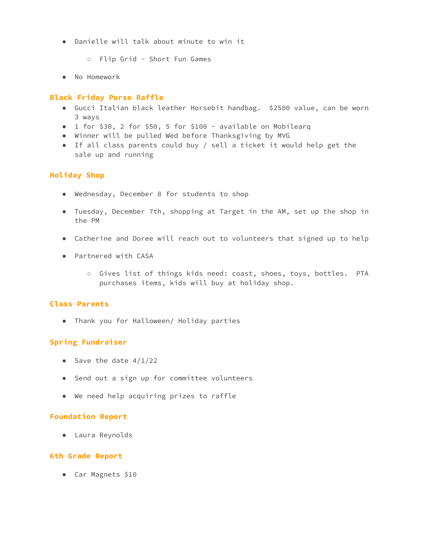- Danielle will talk about minute to win it
	- Flip Grid Short Fun Games
- No Homework

# **Black Friday Purse Raffle**

- Gucci Italian black leather Horsebit handbag. \$2500 value, can be worn 3 ways
- 1 for \$30, 2 for \$50, 5 for \$100 available on Mobilearq
- Winner will be pulled Wed before Thanksgiving by MVG
- If all class parents could buy / sell a ticket it would help get the sale up and running

# **Holiday Shop**

- Wednesday, December 8 for students to shop
- Tuesday, December 7th, shopping at Target in the AM, set up the shop in the PM
- Catherine and Doree will reach out to volunteers that signed up to help
- Partnered with CASA
	- Gives list of things kids need: coast, shoes, toys, bottles. PTA purchases items, kids will buy at holiday shop.

## **Class Parents**

● Thank you for Halloween/ Holiday parties

# **Spring Fundraiser**

- Save the date  $4/1/22$
- Send out a sign up for committee volunteers
- We need help acquiring prizes to raffle

## **Foundation Report**

● Laura Reynolds

## **6th Grade Report**

● Car Magnets \$10